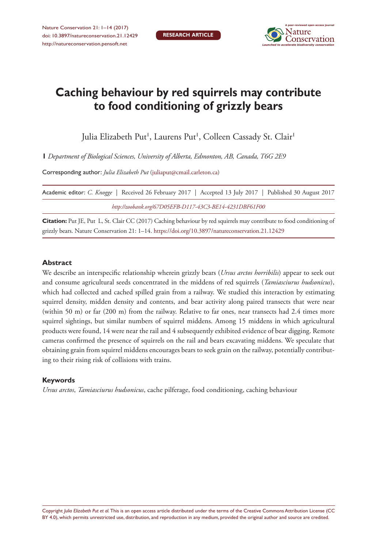**RESEARCH ARTICLE**



# **Caching behaviour by red squirrels may contribute to food conditioning of grizzly bears**

Julia Elizabeth Put', Laurens Put', Colleen Cassady St. Clair'

**1** *Department of Biological Sciences, University of Alberta, Edmonton, AB, Canada, T6G 2E9*

Corresponding author: *Julia Elizabeth Put* ([juliaput@cmail.carleton.ca](mailto:juliaput@cmail.carleton.ca))

| Academic editor: C. Knogge   Received 26 February 2017   Accepted 13 July 2017   Published 30 August 2017 |  |
|-----------------------------------------------------------------------------------------------------------|--|
| http://zoobank.org/67D05EFB-D117-43C3-BE14-4231DBF61F00                                                   |  |

**Citation:** Put JE, Put L, St. Clair CC (2017) Caching behaviour by red squirrels may contribute to food conditioning of grizzly bears. Nature Conservation 21: 1–14. <https://doi.org/10.3897/natureconservation.21.12429>

## **Abstract**

We describe an interspecific relationship wherein grizzly bears (*Ursus arctos horribilis*) appear to seek out and consume agricultural seeds concentrated in the middens of red squirrels (*Tamiasciurus hudsonicus*), which had collected and cached spilled grain from a railway. We studied this interaction by estimating squirrel density, midden density and contents, and bear activity along paired transects that were near (within 50 m) or far (200 m) from the railway. Relative to far ones, near transects had 2.4 times more squirrel sightings, but similar numbers of squirrel middens. Among 15 middens in which agricultural products were found, 14 were near the rail and 4 subsequently exhibited evidence of bear digging. Remote cameras confirmed the presence of squirrels on the rail and bears excavating middens. We speculate that obtaining grain from squirrel middens encourages bears to seek grain on the railway, potentially contributing to their rising risk of collisions with trains.

## **Keywords**

*Ursus arctos*, *Tamiasciurus hudsonicus*, cache pilferage, food conditioning, caching behaviour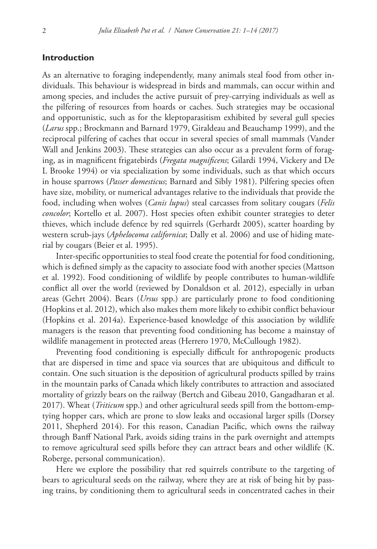## **Introduction**

As an alternative to foraging independently, many animals steal food from other individuals. This behaviour is widespread in birds and mammals, can occur within and among species, and includes the active pursuit of prey-carrying individuals as well as the pilfering of resources from hoards or caches. Such strategies may be occasional and opportunistic, such as for the kleptoparasitism exhibited by several gull species (*Larus* spp.; Brockmann and Barnard 1979, Giraldeau and Beauchamp 1999), and the reciprocal pilfering of caches that occur in several species of small mammals (Vander Wall and Jenkins 2003). These strategies can also occur as a prevalent form of foraging, as in magnificent frigatebirds (*Fregata magnificens*; Gilardi 1994, Vickery and De L Brooke 1994) or via specialization by some individuals, such as that which occurs in house sparrows (*Passer domesticus*; Barnard and Sibly 1981). Pilfering species often have size, mobility, or numerical advantages relative to the individuals that provide the food, including when wolves (*Canis lupus*) steal carcasses from solitary cougars (*Felis concolor*; Kortello et al. 2007). Host species often exhibit counter strategies to deter thieves, which include defence by red squirrels (Gerhardt 2005), scatter hoarding by western scrub-jays (*Aphelocoma californica*; Dally et al. 2006) and use of hiding material by cougars (Beier et al. 1995).

Inter-specific opportunities to steal food create the potential for food conditioning, which is defined simply as the capacity to associate food with another species (Mattson et al. 1992). Food conditioning of wildlife by people contributes to human-wildlife conflict all over the world (reviewed by Donaldson et al. 2012), especially in urban areas (Gehrt 2004). Bears (*Ursus* spp.) are particularly prone to food conditioning (Hopkins et al. 2012), which also makes them more likely to exhibit conflict behaviour (Hopkins et al. 2014a). Experience-based knowledge of this association by wildlife managers is the reason that preventing food conditioning has become a mainstay of wildlife management in protected areas (Herrero 1970, McCullough 1982).

Preventing food conditioning is especially difficult for anthropogenic products that are dispersed in time and space via sources that are ubiquitous and difficult to contain. One such situation is the deposition of agricultural products spilled by trains in the mountain parks of Canada which likely contributes to attraction and associated mortality of grizzly bears on the railway (Bertch and Gibeau 2010, Gangadharan et al. 2017). Wheat (*Triticum* spp.) and other agricultural seeds spill from the bottom-emptying hopper cars, which are prone to slow leaks and occasional larger spills (Dorsey 2011, Shepherd 2014). For this reason, Canadian Pacific, which owns the railway through Banff National Park, avoids siding trains in the park overnight and attempts to remove agricultural seed spills before they can attract bears and other wildlife (K. Roberge, personal communication).

Here we explore the possibility that red squirrels contribute to the targeting of bears to agricultural seeds on the railway, where they are at risk of being hit by passing trains, by conditioning them to agricultural seeds in concentrated caches in their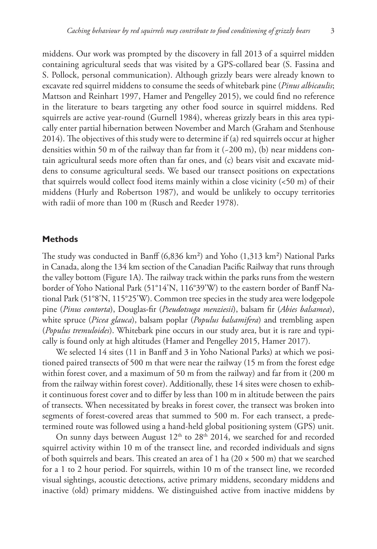middens. Our work was prompted by the discovery in fall 2013 of a squirrel midden containing agricultural seeds that was visited by a GPS-collared bear (S. Fassina and S. Pollock, personal communication). Although grizzly bears were already known to excavate red squirrel middens to consume the seeds of whitebark pine (*Pinus albicaulis*; Mattson and Reinhart 1997, Hamer and Pengelley 2015), we could find no reference in the literature to bears targeting any other food source in squirrel middens. Red squirrels are active year-round (Gurnell 1984), whereas grizzly bears in this area typi-

cally enter partial hibernation between November and March (Graham and Stenhouse 2014). The objectives of this study were to determine if (a) red squirrels occur at higher densities within 50 m of the railway than far from it  $(-200 \text{ m})$ , (b) near middens contain agricultural seeds more often than far ones, and (c) bears visit and excavate middens to consume agricultural seeds. We based our transect positions on expectations that squirrels would collect food items mainly within a close vicinity (<50 m) of their middens (Hurly and Robertson 1987), and would be unlikely to occupy territories with radii of more than 100 m (Rusch and Reeder 1978).

## **Methods**

The study was conducted in Banff  $(6,836 \text{ km}^2)$  and Yoho  $(1,313 \text{ km}^2)$  National Parks in Canada, along the 134 km section of the Canadian Pacific Railway that runs through the valley bottom (Figure 1A). The railway track within the parks runs from the western border of Yoho National Park (51°14'N, 116°39'W) to the eastern border of Banff National Park (51°8'N, 115°25'W). Common tree species in the study area were lodgepole pine (*Pinus contorta*), Douglas-fir (*Pseudotsuga menziesii*), balsam fir (*Abies balsamea*), white spruce (*Picea glauca*), balsam poplar (*Populus balsamifera*) and trembling aspen (*Populus tremuloides*). Whitebark pine occurs in our study area, but it is rare and typically is found only at high altitudes (Hamer and Pengelley 2015, Hamer 2017).

We selected 14 sites (11 in Banff and 3 in Yoho National Parks) at which we positioned paired transects of 500 m that were near the railway (15 m from the forest edge within forest cover, and a maximum of 50 m from the railway) and far from it (200 m from the railway within forest cover). Additionally, these 14 sites were chosen to exhibit continuous forest cover and to differ by less than 100 m in altitude between the pairs of transects. When necessitated by breaks in forest cover, the transect was broken into segments of forest-covered areas that summed to 500 m. For each transect, a predetermined route was followed using a hand-held global positioning system (GPS) unit.

On sunny days between August  $12<sup>th</sup>$  to  $28<sup>th</sup>$  2014, we searched for and recorded squirrel activity within 10 m of the transect line, and recorded individuals and signs of both squirrels and bears. This created an area of 1 ha ( $20 \times 500$  m) that we searched for a 1 to 2 hour period. For squirrels, within 10 m of the transect line, we recorded visual sightings, acoustic detections, active primary middens, secondary middens and inactive (old) primary middens. We distinguished active from inactive middens by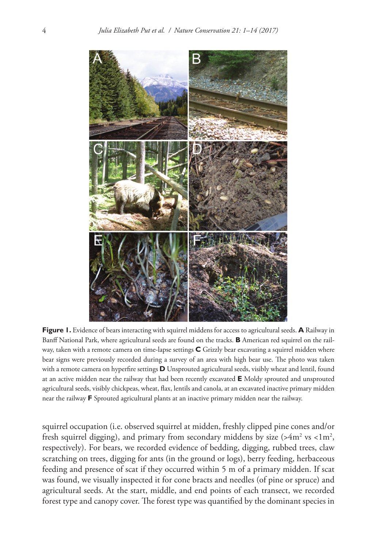

**Figure 1.** Evidence of bears interacting with squirrel middens for access to agricultural seeds. **A** Railway in Banff National Park, where agricultural seeds are found on the tracks. **B** American red squirrel on the railway, taken with a remote camera on time-lapse settings **C** Grizzly bear excavating a squirrel midden where bear signs were previously recorded during a survey of an area with high bear use. The photo was taken with a remote camera on hyperfire settings **D** Unsprouted agricultural seeds, visibly wheat and lentil, found at an active midden near the railway that had been recently excavated **E** Moldy sprouted and unsprouted agricultural seeds, visibly chickpeas, wheat, flax, lentils and canola, at an excavated inactive primary midden near the railway **F** Sprouted agricultural plants at an inactive primary midden near the railway.

squirrel occupation (i.e. observed squirrel at midden, freshly clipped pine cones and/or fresh squirrel digging), and primary from secondary middens by size  $($ >4m<sup>2</sup> vs <1m<sup>2</sup>, respectively). For bears, we recorded evidence of bedding, digging, rubbed trees, claw scratching on trees, digging for ants (in the ground or logs), berry feeding, herbaceous feeding and presence of scat if they occurred within 5 m of a primary midden. If scat was found, we visually inspected it for cone bracts and needles (of pine or spruce) and agricultural seeds. At the start, middle, and end points of each transect, we recorded forest type and canopy cover. The forest type was quantified by the dominant species in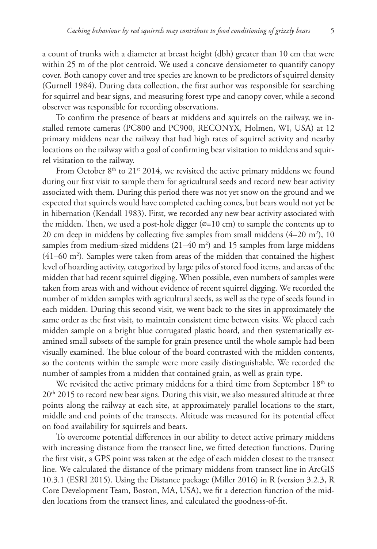a count of trunks with a diameter at breast height (dbh) greater than 10 cm that were within 25 m of the plot centroid. We used a concave densiometer to quantify canopy cover. Both canopy cover and tree species are known to be predictors of squirrel density (Gurnell 1984). During data collection, the first author was responsible for searching for squirrel and bear signs, and measuring forest type and canopy cover, while a second observer was responsible for recording observations.

To confirm the presence of bears at middens and squirrels on the railway, we installed remote cameras (PC800 and PC900, RECONYX, Holmen, WI, USA) at 12 primary middens near the railway that had high rates of squirrel activity and nearby locations on the railway with a goal of confirming bear visitation to middens and squirrel visitation to the railway.

From October  $8<sup>th</sup>$  to  $21<sup>st</sup>$  2014, we revisited the active primary middens we found during our first visit to sample them for agricultural seeds and record new bear activity associated with them. During this period there was not yet snow on the ground and we expected that squirrels would have completed caching cones, but bears would not yet be in hibernation (Kendall 1983). First, we recorded any new bear activity associated with the midden. Then, we used a post-hole digger  $(\emptyset=10 \text{ cm})$  to sample the contents up to 20 cm deep in middens by collecting five samples from small middens  $(4-20 \text{ m}^2)$ , 10 samples from medium-sized middens  $(21-40 \text{ m}^2)$  and 15 samples from large middens  $(41-60 \text{ m}^2)$ . Samples were taken from areas of the midden that contained the highest level of hoarding activity, categorized by large piles of stored food items, and areas of the midden that had recent squirrel digging. When possible, even numbers of samples were taken from areas with and without evidence of recent squirrel digging. We recorded the number of midden samples with agricultural seeds, as well as the type of seeds found in each midden. During this second visit, we went back to the sites in approximately the same order as the first visit, to maintain consistent time between visits. We placed each midden sample on a bright blue corrugated plastic board, and then systematically examined small subsets of the sample for grain presence until the whole sample had been visually examined. The blue colour of the board contrasted with the midden contents, so the contents within the sample were more easily distinguishable. We recorded the number of samples from a midden that contained grain, as well as grain type.

We revisited the active primary middens for a third time from September  $18<sup>th</sup>$  to 20th 2015 to record new bear signs. During this visit, we also measured altitude at three points along the railway at each site, at approximately parallel locations to the start, middle and end points of the transects. Altitude was measured for its potential effect on food availability for squirrels and bears.

To overcome potential differences in our ability to detect active primary middens with increasing distance from the transect line, we fitted detection functions. During the first visit, a GPS point was taken at the edge of each midden closest to the transect line. We calculated the distance of the primary middens from transect line in ArcGIS 10.3.1 (ESRI 2015). Using the Distance package (Miller 2016) in R (version 3.2.3, R Core Development Team, Boston, MA, USA), we fit a detection function of the midden locations from the transect lines, and calculated the goodness-of-fit.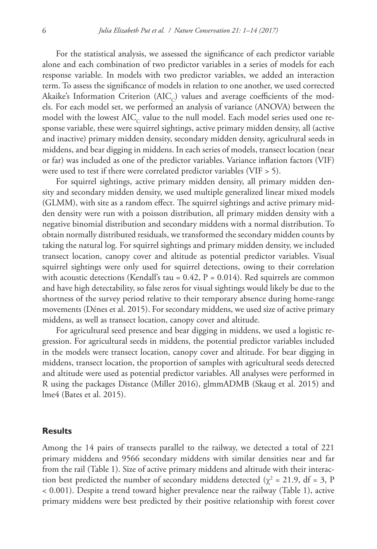For the statistical analysis, we assessed the significance of each predictor variable alone and each combination of two predictor variables in a series of models for each response variable. In models with two predictor variables, we added an interaction term. To assess the significance of models in relation to one another, we used corrected Akaike's Information Criterion  $(AIC_{c})$  values and average coefficients of the models. For each model set, we performed an analysis of variance (ANOVA) between the model with the lowest  $AIC_c$  value to the null model. Each model series used one response variable, these were squirrel sightings, active primary midden density, all (active and inactive) primary midden density, secondary midden density, agricultural seeds in middens, and bear digging in middens. In each series of models, transect location (near or far) was included as one of the predictor variables. Variance inflation factors (VIF) were used to test if there were correlated predictor variables (VIF > 5).

For squirrel sightings, active primary midden density, all primary midden density and secondary midden density, we used multiple generalized linear mixed models (GLMM), with site as a random effect. The squirrel sightings and active primary midden density were run with a poisson distribution, all primary midden density with a negative binomial distribution and secondary middens with a normal distribution. To obtain normally distributed residuals, we transformed the secondary midden counts by taking the natural log. For squirrel sightings and primary midden density, we included transect location, canopy cover and altitude as potential predictor variables. Visual squirrel sightings were only used for squirrel detections, owing to their correlation with acoustic detections (Kendall's tau =  $0.42$ , P =  $0.014$ ). Red squirrels are common and have high detectability, so false zeros for visual sightings would likely be due to the shortness of the survey period relative to their temporary absence during home-range movements (Dénes et al. 2015). For secondary middens, we used size of active primary middens, as well as transect location, canopy cover and altitude.

For agricultural seed presence and bear digging in middens, we used a logistic regression. For agricultural seeds in middens, the potential predictor variables included in the models were transect location, canopy cover and altitude. For bear digging in middens, transect location, the proportion of samples with agricultural seeds detected and altitude were used as potential predictor variables. All analyses were performed in R using the packages Distance (Miller 2016), glmmADMB (Skaug et al. 2015) and lme4 (Bates et al. 2015).

#### **Results**

Among the 14 pairs of transects parallel to the railway, we detected a total of 221 primary middens and 9566 secondary middens with similar densities near and far from the rail (Table 1). Size of active primary middens and altitude with their interaction best predicted the number of secondary middens detected ( $\chi^2 = 21.9$ , df = 3, P < 0.001). Despite a trend toward higher prevalence near the railway (Table 1), active primary middens were best predicted by their positive relationship with forest cover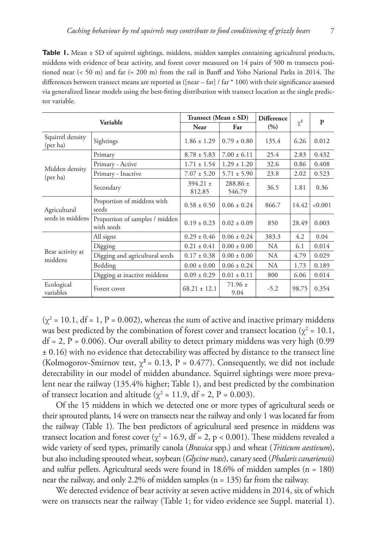**Table 1.** Mean  $\pm$  SD of squirrel sightings, middens, midden samples containing agricultural products, middens with evidence of bear activity, and forest cover measured on 14 pairs of 500 m transects positioned near (< 50 m) and far (≈ 200 m) from the rail in Banff and Yoho National Parks in 2014. The differences between transect means are reported as ([near – far] / far \* 100) with their significance assessed via generalized linear models using the best-fitting distribution with transect location as the single predictor variable.

| Variable                         |                                              | Transect (Mean ± SD)   |                        | <b>Difference</b> |          | P       |
|----------------------------------|----------------------------------------------|------------------------|------------------------|-------------------|----------|---------|
|                                  |                                              | Near                   | Far                    | (9/0)             | $\chi^2$ |         |
| Squirrel density<br>(per ha)     | Sightings                                    | $1.86 \pm 1.29$        | $0.79 \pm 0.80$        | 135.4             | 6.26     | 0.012   |
| Midden density<br>(per ha)       | Primary                                      | $8.78 \pm 5.83$        | $7.00 \pm 6.11$        | 25.4              | 2.83     | 0.432   |
|                                  | Primary - Active                             | $1.71 \pm 1.54$        | $1.29 \pm 1.20$        | 32.6              | 0.86     | 0.408   |
|                                  | Primary - Inactive                           | $7.07 \pm 5.20$        | $5.71 \pm 5.90$        | 23.8              | 2.02     | 0.523   |
|                                  | Secondary                                    | $394.21 \pm$<br>812.85 | $288.86 \pm$<br>546.79 | 36.5              | 1.81     | 0.36    |
| Agricultural<br>seeds in middens | Proportion of middens with<br>seeds          | $0.58 \pm 0.50$        | $0.06 \pm 0.24$        | 866.7             | 14.42    | < 0.001 |
|                                  | Proportion of samples / midden<br>with seeds | $0.19 \pm 0.23$        | $0.02 \pm 0.09$        | 850               | 28.49    | 0.003   |
| Bear activity at<br>middens      | All signs                                    | $0.29 \pm 0.46$        | $0.06 \pm 0.24$        | 383.3             | 4.2      | 0.04    |
|                                  | Digging                                      | $0.21 \pm 0.41$        | $0.00 \pm 0.00$        | NA.               | 6.1      | 0.014   |
|                                  | Digging and agricultural seeds               | $0.17 \pm 0.38$        | $0.00 \pm 0.00$        | <b>NA</b>         | 4.79     | 0.029   |
|                                  | Bedding                                      | $0.00 \pm 0.00$        | $0.06 \pm 0.24$        | NA.               | 1.73     | 0.189   |
|                                  | Digging at inactive middens                  | $0.09 \pm 0.29$        | $0.01 \pm 0.11$        | 800               | 6.06     | 0.014   |
| Ecological<br>variables          | Forest cover                                 | $68.21 \pm 12.1$       | $71.96 \pm$<br>9.04    | $-5.2$            | 98.75    | 0.354   |

 $(\chi^2 = 10.1, df = 1, P = 0.002)$ , whereas the sum of active and inactive primary middens was best predicted by the combination of forest cover and transect location ( $\chi^2$  = 10.1,  $df = 2$ ,  $P = 0.006$ ). Our overall ability to detect primary middens was very high (0.99) ± 0.16) with no evidence that detectability was affected by distance to the transect line (Kolmogorov-Smirnov test,  $\gamma^2$  = 0.13, P = 0.477). Consequently, we did not include detectability in our model of midden abundance. Squirrel sightings were more prevalent near the railway (135.4% higher; Table 1), and best predicted by the combination of transect location and altitude ( $\chi^2 = 11.9$ , df = 2, P = 0.003).

Of the 15 middens in which we detected one or more types of agricultural seeds or their sprouted plants, 14 were on transects near the railway and only 1 was located far from the railway (Table 1). The best predictors of agricultural seed presence in middens was transect location and forest cover ( $\chi^2$  = 16.9, df = 2, p < 0.001). These middens revealed a wide variety of seed types, primarily canola (*Brassica* spp.) and wheat (*Triticum aestivum*), but also including sprouted wheat, soybean (*Glycine max*), canary seed (*Phalaris canariensis*) and sulfur pellets. Agricultural seeds were found in  $18.6\%$  of midden samples (n = 180) near the railway, and only 2.2% of midden samples (n = 135) far from the railway.

We detected evidence of bear activity at seven active middens in 2014, six of which were on transects near the railway (Table 1; for video evidence see Suppl. material 1).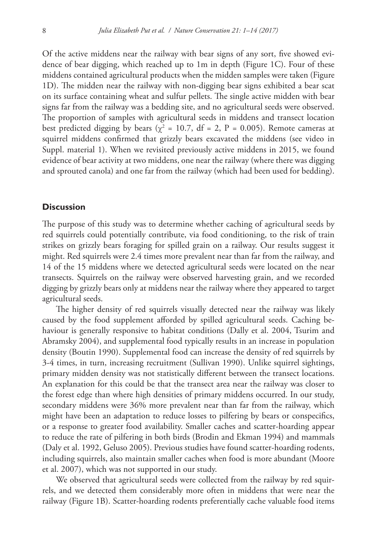Of the active middens near the railway with bear signs of any sort, five showed evidence of bear digging, which reached up to 1m in depth (Figure 1C). Four of these middens contained agricultural products when the midden samples were taken (Figure 1D). The midden near the railway with non-digging bear signs exhibited a bear scat on its surface containing wheat and sulfur pellets. The single active midden with bear signs far from the railway was a bedding site, and no agricultural seeds were observed. The proportion of samples with agricultural seeds in middens and transect location best predicted digging by bears ( $\chi^2$  = 10.7, df = 2, P = 0.005). Remote cameras at squirrel middens confirmed that grizzly bears excavated the middens (see video in Suppl. material 1). When we revisited previously active middens in 2015, we found evidence of bear activity at two middens, one near the railway (where there was digging and sprouted canola) and one far from the railway (which had been used for bedding).

## **Discussion**

The purpose of this study was to determine whether caching of agricultural seeds by red squirrels could potentially contribute, via food conditioning, to the risk of train strikes on grizzly bears foraging for spilled grain on a railway. Our results suggest it might. Red squirrels were 2.4 times more prevalent near than far from the railway, and 14 of the 15 middens where we detected agricultural seeds were located on the near transects. Squirrels on the railway were observed harvesting grain, and we recorded digging by grizzly bears only at middens near the railway where they appeared to target agricultural seeds.

The higher density of red squirrels visually detected near the railway was likely caused by the food supplement afforded by spilled agricultural seeds. Caching behaviour is generally responsive to habitat conditions (Dally et al. 2004, Tsurim and Abramsky 2004), and supplemental food typically results in an increase in population density (Boutin 1990). Supplemental food can increase the density of red squirrels by 3-4 times, in turn, increasing recruitment (Sullivan 1990). Unlike squirrel sightings, primary midden density was not statistically different between the transect locations. An explanation for this could be that the transect area near the railway was closer to the forest edge than where high densities of primary middens occurred. In our study, secondary middens were 36% more prevalent near than far from the railway, which might have been an adaptation to reduce losses to pilfering by bears or conspecifics, or a response to greater food availability. Smaller caches and scatter-hoarding appear to reduce the rate of pilfering in both birds (Brodin and Ekman 1994) and mammals (Daly et al. 1992, Geluso 2005). Previous studies have found scatter-hoarding rodents, including squirrels, also maintain smaller caches when food is more abundant (Moore et al. 2007), which was not supported in our study.

We observed that agricultural seeds were collected from the railway by red squirrels, and we detected them considerably more often in middens that were near the railway (Figure 1B). Scatter-hoarding rodents preferentially cache valuable food items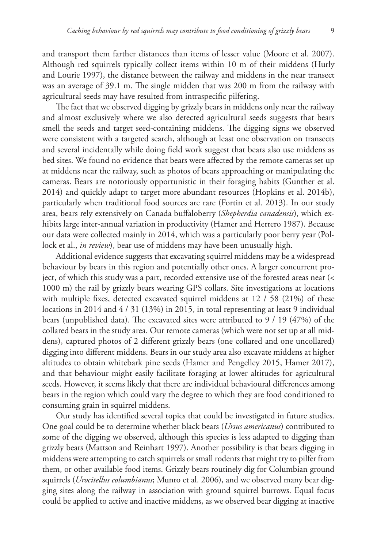and transport them farther distances than items of lesser value (Moore et al. 2007). Although red squirrels typically collect items within 10 m of their middens (Hurly and Lourie 1997), the distance between the railway and middens in the near transect was an average of 39.1 m. The single midden that was 200 m from the railway with agricultural seeds may have resulted from intraspecific pilfering.

The fact that we observed digging by grizzly bears in middens only near the railway and almost exclusively where we also detected agricultural seeds suggests that bears smell the seeds and target seed-containing middens. The digging signs we observed were consistent with a targeted search, although at least one observation on transects and several incidentally while doing field work suggest that bears also use middens as bed sites. We found no evidence that bears were affected by the remote cameras set up at middens near the railway, such as photos of bears approaching or manipulating the cameras. Bears are notoriously opportunistic in their foraging habits (Gunther et al. 2014) and quickly adapt to target more abundant resources (Hopkins et al. 2014b), particularly when traditional food sources are rare (Fortin et al. 2013). In our study area, bears rely extensively on Canada buffaloberry (*Shepherdia canadensis*), which exhibits large inter-annual variation in productivity (Hamer and Herrero 1987). Because our data were collected mainly in 2014, which was a particularly poor berry year (Pollock et al., *in review*), bear use of middens may have been unusually high.

Additional evidence suggests that excavating squirrel middens may be a widespread behaviour by bears in this region and potentially other ones. A larger concurrent project, of which this study was a part, recorded extensive use of the forested areas near (< 1000 m) the rail by grizzly bears wearing GPS collars. Site investigations at locations with multiple fixes, detected excavated squirrel middens at 12 / 58 (21%) of these locations in 2014 and 4 / 31 (13%) in 2015, in total representing at least 9 individual bears (unpublished data). The excavated sites were attributed to 9 / 19 (47%) of the collared bears in the study area. Our remote cameras (which were not set up at all middens), captured photos of 2 different grizzly bears (one collared and one uncollared) digging into different middens. Bears in our study area also excavate middens at higher altitudes to obtain whitebark pine seeds (Hamer and Pengelley 2015, Hamer 2017), and that behaviour might easily facilitate foraging at lower altitudes for agricultural seeds. However, it seems likely that there are individual behavioural differences among bears in the region which could vary the degree to which they are food conditioned to consuming grain in squirrel middens.

Our study has identified several topics that could be investigated in future studies. One goal could be to determine whether black bears (*Ursus americanus*) contributed to some of the digging we observed, although this species is less adapted to digging than grizzly bears (Mattson and Reinhart 1997). Another possibility is that bears digging in middens were attempting to catch squirrels or small rodents that might try to pilfer from them, or other available food items. Grizzly bears routinely dig for Columbian ground squirrels (*Urocitellus columbianus*; Munro et al. 2006), and we observed many bear digging sites along the railway in association with ground squirrel burrows. Equal focus could be applied to active and inactive middens, as we observed bear digging at inactive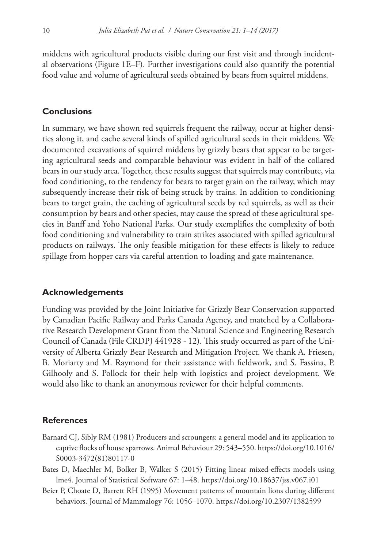middens with agricultural products visible during our first visit and through incidental observations (Figure 1E–F). Further investigations could also quantify the potential food value and volume of agricultural seeds obtained by bears from squirrel middens.

## **Conclusions**

In summary, we have shown red squirrels frequent the railway, occur at higher densities along it, and cache several kinds of spilled agricultural seeds in their middens. We documented excavations of squirrel middens by grizzly bears that appear to be targeting agricultural seeds and comparable behaviour was evident in half of the collared bears in our study area. Together, these results suggest that squirrels may contribute, via food conditioning, to the tendency for bears to target grain on the railway, which may subsequently increase their risk of being struck by trains. In addition to conditioning bears to target grain, the caching of agricultural seeds by red squirrels, as well as their consumption by bears and other species, may cause the spread of these agricultural species in Banff and Yoho National Parks. Our study exemplifies the complexity of both food conditioning and vulnerability to train strikes associated with spilled agricultural products on railways. The only feasible mitigation for these effects is likely to reduce spillage from hopper cars via careful attention to loading and gate maintenance.

## **Acknowledgements**

Funding was provided by the Joint Initiative for Grizzly Bear Conservation supported by Canadian Pacific Railway and Parks Canada Agency, and matched by a Collaborative Research Development Grant from the Natural Science and Engineering Research Council of Canada (File CRDPJ 441928 - 12). This study occurred as part of the University of Alberta Grizzly Bear Research and Mitigation Project. We thank A. Friesen, B. Moriarty and M. Raymond for their assistance with fieldwork, and S. Fassina, P. Gilhooly and S. Pollock for their help with logistics and project development. We would also like to thank an anonymous reviewer for their helpful comments.

## **References**

- Barnard CJ, Sibly RM (1981) Producers and scroungers: a general model and its application to captive flocks of house sparrows. Animal Behaviour 29: 543–550. [https://doi.org/10.1016/](https://doi.org/10.1016/S0003-3472(81)80117-0) [S0003-3472\(81\)80117-0](https://doi.org/10.1016/S0003-3472(81)80117-0)
- Bates D, Maechler M, Bolker B, Walker S (2015) Fitting linear mixed-effects models using lme4. Journal of Statistical Software 67: 1–48. <https://doi.org/10.18637/jss.v067.i01>
- Beier P, Choate D, Barrett RH (1995) Movement patterns of mountain lions during different behaviors. Journal of Mammalogy 76: 1056–1070.<https://doi.org/10.2307/1382599>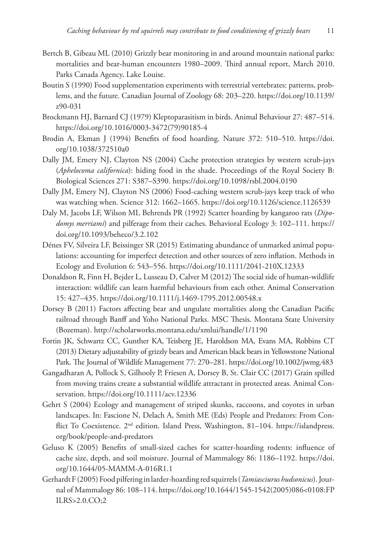- Bertch B, Gibeau ML (2010) Grizzly bear monitoring in and around mountain national parks: mortalities and bear-human encounters 1980–2009. Third annual report, March 2010. Parks Canada Agency, Lake Louise.
- Boutin S (1990) Food supplementation experiments with terrestrial vertebrates: patterns, problems, and the future. Canadian Journal of Zoology 68: 203–220. [https://doi.org/10.1139/](https://doi.org/10.1139/z90-031) [z90-031](https://doi.org/10.1139/z90-031)
- Brockmann HJ, Barnard CJ (1979) Kleptoparasitism in birds. Animal Behaviour 27: 487–514. [https://doi.org/10.1016/0003-3472\(79\)90185-4](https://doi.org/10.1016/0003-3472(79)90185-4)
- Brodin A, Ekman J (1994) Benefits of food hoarding. Nature 372: 510–510. [https://doi.](https://doi.org/10.1038/372510a0) [org/10.1038/372510a0](https://doi.org/10.1038/372510a0)
- Dally JM, Emery NJ, Clayton NS (2004) Cache protection strategies by western scrub-jays (*Aphelocoma californica*): hiding food in the shade. Proceedings of the Royal Society B: Biological Sciences 271: S387–S390.<https://doi.org/10.1098/rsbl.2004.0190>
- Dally JM, Emery NJ, Clayton NS (2006) Food-caching western scrub-jays keep track of who was watching when. Science 312: 1662–1665. <https://doi.org/10.1126/science.1126539>
- Daly M, Jacobs LF, Wilson MI, Behrends PR (1992) Scatter hoarding by kangaroo rats (*Dipodomys merriami*) and pilferage from their caches. Behavioral Ecology 3: 102–111. [https://](https://doi.org/10.1093/beheco/3.2.102) [doi.org/10.1093/beheco/3.2.102](https://doi.org/10.1093/beheco/3.2.102)
- Dénes FV, Silveira LF, Beissinger SR (2015) Estimating abundance of unmarked animal populations: accounting for imperfect detection and other sources of zero inflation. Methods in Ecology and Evolution 6: 543–556.<https://doi.org/10.1111/2041-210X.12333>
- Donaldson R, Finn H, Bejder L, Lusseau D, Calver M (2012) The social side of human-wildlife interaction: wildlife can learn harmful behaviours from each other. Animal Conservation 15: 427–435.<https://doi.org/10.1111/j.1469-1795.2012.00548.x>
- Dorsey B (2011) Factors affecting bear and ungulate mortalities along the Canadian Pacific railroad through Banff and Yoho National Parks. MSC Thesis. Montana State University (Bozeman). <http://scholarworks.montana.edu/xmlui/handle/1/1190>
- Fortin JK, Schwartz CC, Gunther KA, Teisberg JE, Haroldson MA, Evans MA, Robbins CT (2013) Dietary adjustability of grizzly bears and American black bears in Yellowstone National Park. The Journal of Wildlife Management 77: 270–281.<https://doi.org/10.1002/jwmg.483>
- Gangadharan A, Pollock S, Gilhooly P, Friesen A, Dorsey B, St. Clair CC (2017) Grain spilled from moving trains create a substantial wildlife attractant in protected areas. Animal Conservation.<https://doi.org/10.1111/acv.12336>
- Gehrt S (2004) Ecology and management of striped skunks, raccoons, and coyotes in urban landscapes. In: Fascione N, Delach A, Smith ME (Eds) People and Predators: From Conflict To Coexistence. 2<sup>nd</sup> edition. Island Press, Washington, 81-104. [https://islandpress.](https://islandpress.org/book/people-and-predators) [org/book/people-and-predators](https://islandpress.org/book/people-and-predators)
- Geluso K (2005) Benefits of small-sized caches for scatter-hoarding rodents: influence of cache size, depth, and soil moisture. Journal of Mammalogy 86: 1186–1192. [https://doi.](https://doi.org/10.1644/05-MAMM-A-016R1.1) [org/10.1644/05-MAMM-A-016R1.1](https://doi.org/10.1644/05-MAMM-A-016R1.1)
- Gerhardt F (2005) Food pilfering in larder-hoarding red squirrels (*Tamiasciurus hudsonicus*). Journal of Mammalogy 86: 108–114. [https://doi.org/10.1644/1545-1542\(2005\)086<0108:FP](https://doi.org/10.1644/1545-1542(2005)086%3C0108:FPILRS%3E2.0.CO;2) [ILRS>2.0.CO;2](https://doi.org/10.1644/1545-1542(2005)086%3C0108:FPILRS%3E2.0.CO;2)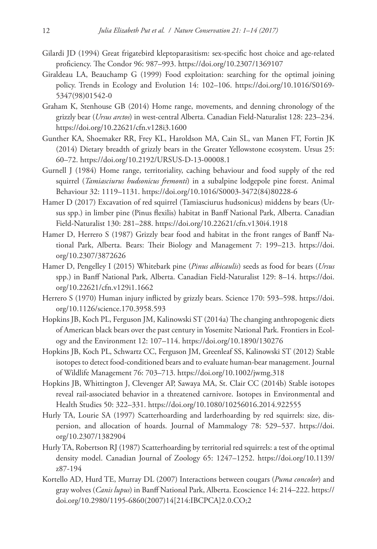- Gilardi JD (1994) Great frigatebird kleptoparasitism: sex-specific host choice and age-related proficiency. The Condor 96: 987–993.<https://doi.org/10.2307/1369107>
- Giraldeau LA, Beauchamp G (1999) Food exploitation: searching for the optimal joining policy. Trends in Ecology and Evolution 14: 102–106. [https://doi.org/10.1016/S0169-](https://doi.org/10.1016/S0169-5347(98)01542-0) [5347\(98\)01542-0](https://doi.org/10.1016/S0169-5347(98)01542-0)
- Graham K, Stenhouse GB (2014) Home range, movements, and denning chronology of the grizzly bear (*Ursus arctos*) in west-central Alberta. Canadian Field-Naturalist 128: 223–234. <https://doi.org/10.22621/cfn.v128i3.1600>
- Gunther KA, Shoemaker RR, Frey KL, Haroldson MA, Cain SL, van Manen FT, Fortin JK (2014) Dietary breadth of grizzly bears in the Greater Yellowstone ecosystem. Ursus 25: 60–72.<https://doi.org/10.2192/URSUS-D-13-00008.1>
- Gurnell J (1984) Home range, territoriality, caching behaviour and food supply of the red squirrel (*Tamiasciurus hudsonicus fremonti*) in a subalpine lodgepole pine forest. Animal Behaviour 32: 1119–1131. [https://doi.org/10.1016/S0003-3472\(84\)80228-6](https://doi.org/10.1016/S0003-3472(84)80228-6)
- Hamer D (2017) Excavation of red squirrel (Tamiasciurus hudsonicus) middens by bears (Ursus spp.) in limber pine (Pinus flexilis) habitat in Banff National Park, Alberta. Canadian Field-Naturalist 130: 281–288. <https://doi.org/10.22621/cfn.v130i4.1918>
- Hamer D, Herrero S (1987) Grizzly bear food and habitat in the front ranges of Banff National Park, Alberta. Bears: Their Biology and Management 7: 199–213. [https://doi.](https://doi.org/10.2307/3872626) [org/10.2307/3872626](https://doi.org/10.2307/3872626)
- Hamer D, Pengelley I (2015) Whitebark pine (*Pinus albicaulis*) seeds as food for bears (*Ursus* spp.) in Banff National Park, Alberta. Canadian Field-Naturalist 129: 8–14. [https://doi.](https://doi.org/10.22621/cfn.v129i1.1662) [org/10.22621/cfn.v129i1.1662](https://doi.org/10.22621/cfn.v129i1.1662)
- Herrero S (1970) Human injury inflicted by grizzly bears. Science 170: 593–598. [https://doi.](https://doi.org/10.1126/science.170.3958.593) [org/10.1126/science.170.3958.593](https://doi.org/10.1126/science.170.3958.593)
- Hopkins JB, Koch PL, Ferguson JM, Kalinowski ST (2014a) The changing anthropogenic diets of American black bears over the past century in Yosemite National Park. Frontiers in Ecology and the Environment 12: 107–114.<https://doi.org/10.1890/130276>
- Hopkins JB, Koch PL, Schwartz CC, Ferguson JM, Greenleaf SS, Kalinowski ST (2012) Stable isotopes to detect food-conditioned bears and to evaluate human-bear management. Journal of Wildlife Management 76: 703–713.<https://doi.org/10.1002/jwmg.318>
- Hopkins JB, Whittington J, Clevenger AP, Sawaya MA, St. Clair CC (2014b) Stable isotopes reveal rail-associated behavior in a threatened carnivore. Isotopes in Environmental and Health Studies 50: 322–331. <https://doi.org/10.1080/10256016.2014.922555>
- Hurly TA, Lourie SA (1997) Scatterhoarding and larderhoarding by red squirrels: size, dispersion, and allocation of hoards. Journal of Mammalogy 78: 529–537. [https://doi.](https://doi.org/10.2307/1382904) [org/10.2307/1382904](https://doi.org/10.2307/1382904)
- Hurly TA, Robertson RJ (1987) Scatterhoarding by territorial red squirrels: a test of the optimal density model. Canadian Journal of Zoology 65: 1247–1252. [https://doi.org/10.1139/](https://doi.org/10.1139/z87-194) [z87-194](https://doi.org/10.1139/z87-194)
- Kortello AD, Hurd TE, Murray DL (2007) Interactions between cougars (*Puma concolor*) and gray wolves (*Canis lupus*) in Banff National Park, Alberta. Ecoscience 14: 214–222. [https://](https://doi.org/10.2980/1195-6860(2007)14%5B214:IBCPCA%5D2.0.CO;2) [doi.org/10.2980/1195-6860\(2007\)14\[214:IBCPCA\]2.0.CO;2](https://doi.org/10.2980/1195-6860(2007)14%5B214:IBCPCA%5D2.0.CO;2)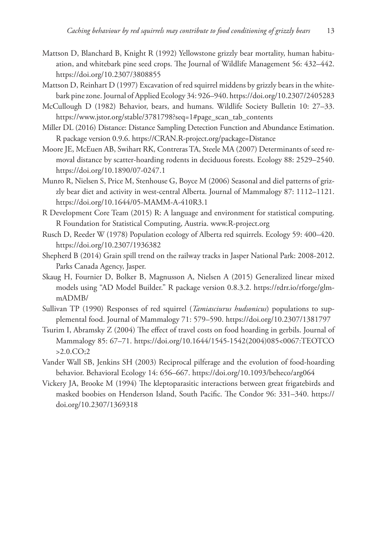- Mattson D, Blanchard B, Knight R (1992) Yellowstone grizzly bear mortality, human habituation, and whitebark pine seed crops. The Journal of Wildlife Management 56: 432–442. <https://doi.org/10.2307/3808855>
- Mattson D, Reinhart D (1997) Excavation of red squirrel middens by grizzly bears in the whitebark pine zone. Journal of Applied Ecology 34: 926–940.<https://doi.org/10.2307/2405283>
- McCullough D (1982) Behavior, bears, and humans. Wildlife Society Bulletin 10: 27–33. [https://www.jstor.org/stable/3781798?seq=1#page\\_scan\\_tab\\_contents](https://www.jstor.org/stable/3781798?seq=1#page_scan_tab_contents)
- Miller DL (2016) Distance: Distance Sampling Detection Function and Abundance Estimation. R package version 0.9.6. <https://CRAN.R-project.org/package=Distance>
- Moore JE, McEuen AB, Swihart RK, Contreras TA, Steele MA (2007) Determinants of seed removal distance by scatter-hoarding rodents in deciduous forests. Ecology 88: 2529–2540. <https://doi.org/10.1890/07-0247.1>
- Munro R, Nielsen S, Price M, Stenhouse G, Boyce M (2006) Seasonal and diel patterns of grizzly bear diet and activity in west-central Alberta. Journal of Mammalogy 87: 1112–1121. <https://doi.org/10.1644/05-MAMM-A-410R3.1>
- R Development Core Team (2015) R: A language and environment for statistical computing. R Foundation for Statistical Computing, Austria. [www.R-project.org](http://www.R-project.org)
- Rusch D, Reeder W (1978) Population ecology of Alberta red squirrels. Ecology 59: 400–420. <https://doi.org/10.2307/1936382>
- Shepherd B (2014) Grain spill trend on the railway tracks in Jasper National Park: 2008-2012. Parks Canada Agency, Jasper.
- Skaug H, Fournier D, Bolker B, Magnusson A, Nielsen A (2015) Generalized linear mixed models using "AD Model Builder." R package version 0.8.3.2. [https://rdrr.io/rforge/glm](https://rdrr.io/rforge/glmmADMB/)[mADMB/](https://rdrr.io/rforge/glmmADMB/)
- Sullivan TP (1990) Responses of red squirrel (*Tamiasciurus hudsonicus*) populations to supplemental food. Journal of Mammalogy 71: 579–590.<https://doi.org/10.2307/1381797>
- Tsurim I, Abramsky Z (2004) The effect of travel costs on food hoarding in gerbils. Journal of Mammalogy 85: 67–71. [https://doi.org/10.1644/1545-1542\(2004\)085<0067:TEOTCO](https://doi.org/10.1644/1545-1542(2004)085%3C0067:TEOTCO%3E2.0.CO;2) [>2.0.CO;2](https://doi.org/10.1644/1545-1542(2004)085%3C0067:TEOTCO%3E2.0.CO;2)
- Vander Wall SB, Jenkins SH (2003) Reciprocal pilferage and the evolution of food-hoarding behavior. Behavioral Ecology 14: 656–667. <https://doi.org/10.1093/beheco/arg064>
- Vickery JA, Brooke M (1994) The kleptoparasitic interactions between great frigatebirds and masked boobies on Henderson Island, South Pacific. The Condor 96: 331–340. [https://](https://doi.org/10.2307/1369318) [doi.org/10.2307/1369318](https://doi.org/10.2307/1369318)